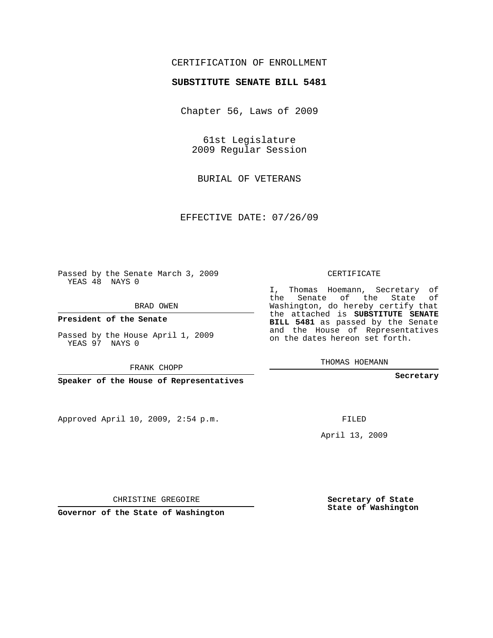## CERTIFICATION OF ENROLLMENT

## **SUBSTITUTE SENATE BILL 5481**

Chapter 56, Laws of 2009

61st Legislature 2009 Regular Session

BURIAL OF VETERANS

EFFECTIVE DATE: 07/26/09

Passed by the Senate March 3, 2009 YEAS 48 NAYS 0

BRAD OWEN

**President of the Senate**

Passed by the House April 1, 2009 YEAS 97 NAYS 0

FRANK CHOPP

**Speaker of the House of Representatives**

Approved April 10, 2009, 2:54 p.m.

CERTIFICATE

I, Thomas Hoemann, Secretary of the Senate of the State of Washington, do hereby certify that the attached is **SUBSTITUTE SENATE BILL 5481** as passed by the Senate and the House of Representatives on the dates hereon set forth.

THOMAS HOEMANN

**Secretary**

FILED

April 13, 2009

**Secretary of State State of Washington**

CHRISTINE GREGOIRE

**Governor of the State of Washington**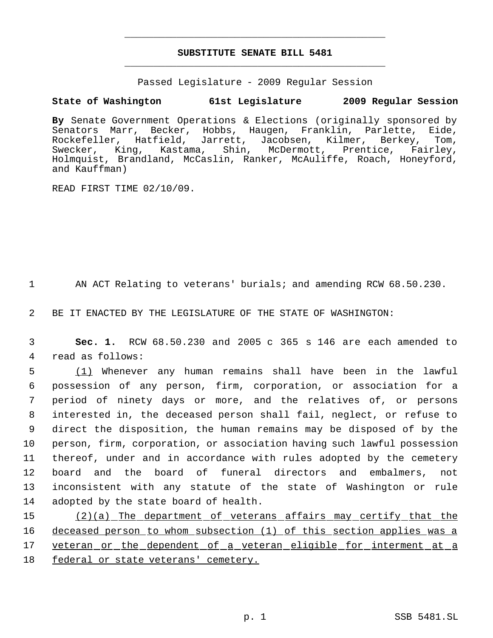## **SUBSTITUTE SENATE BILL 5481** \_\_\_\_\_\_\_\_\_\_\_\_\_\_\_\_\_\_\_\_\_\_\_\_\_\_\_\_\_\_\_\_\_\_\_\_\_\_\_\_\_\_\_\_\_

\_\_\_\_\_\_\_\_\_\_\_\_\_\_\_\_\_\_\_\_\_\_\_\_\_\_\_\_\_\_\_\_\_\_\_\_\_\_\_\_\_\_\_\_\_

Passed Legislature - 2009 Regular Session

## **State of Washington 61st Legislature 2009 Regular Session**

**By** Senate Government Operations & Elections (originally sponsored by Senators Marr, Becker, Hobbs, Haugen, Franklin, Parlette, Eide, Rockefeller, Hatfield, Jarrett, Jacobsen, Kilmer, Berkey, Tom, Swecker, King, Kastama, Shin, McDermott, Prentice, Fairley, Holmquist, Brandland, McCaslin, Ranker, McAuliffe, Roach, Honeyford, and Kauffman)

READ FIRST TIME 02/10/09.

1 AN ACT Relating to veterans' burials; and amending RCW 68.50.230.

2 BE IT ENACTED BY THE LEGISLATURE OF THE STATE OF WASHINGTON:

 3 **Sec. 1.** RCW 68.50.230 and 2005 c 365 s 146 are each amended to 4 read as follows:

 (1) Whenever any human remains shall have been in the lawful possession of any person, firm, corporation, or association for a period of ninety days or more, and the relatives of, or persons interested in, the deceased person shall fail, neglect, or refuse to direct the disposition, the human remains may be disposed of by the person, firm, corporation, or association having such lawful possession thereof, under and in accordance with rules adopted by the cemetery board and the board of funeral directors and embalmers, not inconsistent with any statute of the state of Washington or rule adopted by the state board of health.

15 (2)(a) The department of veterans affairs may certify that the 16 deceased person to whom subsection (1) of this section applies was a 17 veteran or the dependent of a veteran eligible for interment at a 18 federal or state veterans' cemetery.